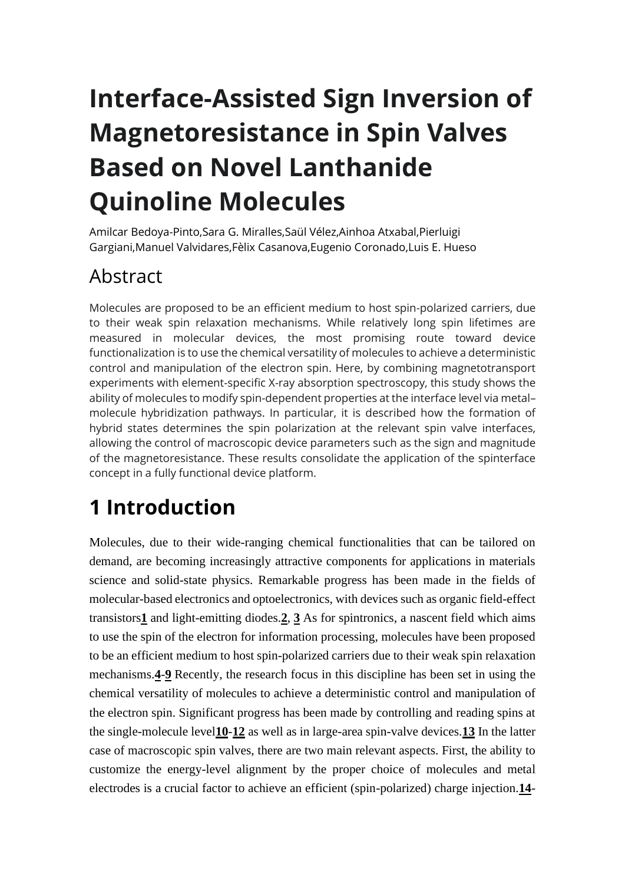# **Interface-Assisted Sign Inversion of Magnetoresistance in Spin Valves Based on Novel Lanthanide Quinoline Molecules**

Amilcar [Bedoya-Pinto,](https://onlinelibrary.wiley.com/action/doSearch?ContribAuthorRaw=Bedoya-Pinto%2C+Amilcar)Sara G. [Miralles,](https://onlinelibrary.wiley.com/action/doSearch?ContribAuthorRaw=Miralles%2C+Sara+G)Saül [Vélez,A](https://onlinelibrary.wiley.com/action/doSearch?ContribAuthorRaw=V%C3%A9lez%2C+Sa%C3%BCl)inhoa [Atxabal](https://onlinelibrary.wiley.com/action/doSearch?ContribAuthorRaw=Atxabal%2C+Ainhoa)[,Pierluigi](https://onlinelibrary.wiley.com/action/doSearch?ContribAuthorRaw=Gargiani%2C+Pierluigi) [Gargiani,](https://onlinelibrary.wiley.com/action/doSearch?ContribAuthorRaw=Gargiani%2C+Pierluigi)Manuel [Valvidares,](https://onlinelibrary.wiley.com/action/doSearch?ContribAuthorRaw=Valvidares%2C+Manuel)Fèlix [Casanova,](https://onlinelibrary.wiley.com/action/doSearch?ContribAuthorRaw=Casanova%2C+F%C3%A8lix)Eugenio [Coronado,L](https://onlinelibrary.wiley.com/action/doSearch?ContribAuthorRaw=Coronado%2C+Eugenio)uis E. [Hueso](https://onlinelibrary.wiley.com/action/doSearch?ContribAuthorRaw=Hueso%2C+Luis+E)

## Abstract

Molecules are proposed to be an efficient medium to host spin-polarized carriers, due to their weak spin relaxation mechanisms. While relatively long spin lifetimes are measured in molecular devices, the most promising route toward device functionalization is to use the chemical versatility of molecules to achieve a deterministic control and manipulation of the electron spin. Here, by combining magnetotransport experiments with element-specific X-ray absorption spectroscopy, this study shows the ability of molecules to modify spin-dependent properties at the interface level via metal– molecule hybridization pathways. In particular, it is described how the formation of hybrid states determines the spin polarization at the relevant spin valve interfaces, allowing the control of macroscopic device parameters such as the sign and magnitude of the magnetoresistance. These results consolidate the application of the spinterface concept in a fully functional device platform.

## **1 Introduction**

Molecules, due to their wide-ranging chemical functionalities that can be tailored on demand, are becoming increasingly attractive components for applications in materials science and solid-state physics. Remarkable progress has been made in the fields of molecular-based electronics and optoelectronics, with devices such as organic field-effect transistors**[1](https://onlinelibrary.wiley.com/doi/full/10.1002/adfm.201702099#adfm201702099-bib-0001)** and light-emitting diodes.**[2](https://onlinelibrary.wiley.com/doi/full/10.1002/adfm.201702099#adfm201702099-bib-0002)**, **[3](https://onlinelibrary.wiley.com/doi/full/10.1002/adfm.201702099#adfm201702099-bib-0003)** As for spintronics, a nascent field which aims to use the spin of the electron for information processing, molecules have been proposed to be an efficient medium to host spin-polarized carriers due to their weak spin relaxation mechanisms.**[4](https://onlinelibrary.wiley.com/doi/full/10.1002/adfm.201702099#adfm201702099-bib-0004)**-**[9](https://onlinelibrary.wiley.com/doi/full/10.1002/adfm.201702099#adfm201702099-bib-0009)** Recently, the research focus in this discipline has been set in using the chemical versatility of molecules to achieve a deterministic control and manipulation of the electron spin. Significant progress has been made by controlling and reading spins at the single-molecule level**[10](https://onlinelibrary.wiley.com/doi/full/10.1002/adfm.201702099#adfm201702099-bib-0010)**-**[12](https://onlinelibrary.wiley.com/doi/full/10.1002/adfm.201702099#adfm201702099-bib-0012)** as well as in large-area spin-valve devices.**[13](https://onlinelibrary.wiley.com/doi/full/10.1002/adfm.201702099#adfm201702099-bib-0013)** In the latter case of macroscopic spin valves, there are two main relevant aspects. First, the ability to customize the energy-level alignment by the proper choice of molecules and metal electrodes is a crucial factor to achieve an efficient (spin-polarized) charge injection.**[14](https://onlinelibrary.wiley.com/doi/full/10.1002/adfm.201702099#adfm201702099-bib-0014)**-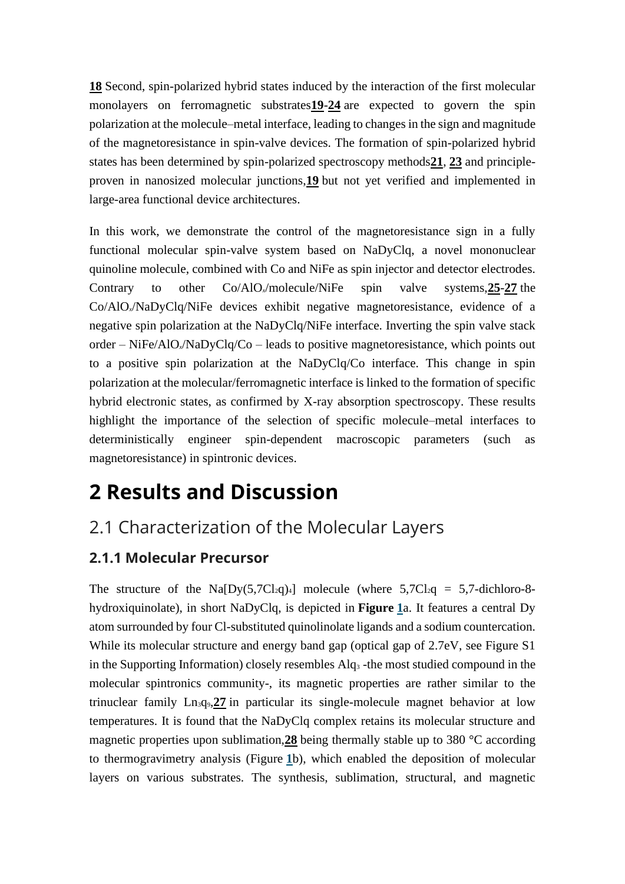**[18](https://onlinelibrary.wiley.com/doi/full/10.1002/adfm.201702099#adfm201702099-bib-0018)** Second, spin-polarized hybrid states induced by the interaction of the first molecular monolayers on ferromagnetic substrates**[19](https://onlinelibrary.wiley.com/doi/full/10.1002/adfm.201702099#adfm201702099-bib-0019)**-**[24](https://onlinelibrary.wiley.com/doi/full/10.1002/adfm.201702099#adfm201702099-bib-0024)** are expected to govern the spin polarization at the molecule–metal interface, leading to changes in the sign and magnitude of the magnetoresistance in spin-valve devices. The formation of spin-polarized hybrid states has been determined by spin-polarized spectroscopy methods**[21](https://onlinelibrary.wiley.com/doi/full/10.1002/adfm.201702099#adfm201702099-bib-0021)**, **[23](https://onlinelibrary.wiley.com/doi/full/10.1002/adfm.201702099#adfm201702099-bib-0023)** and principleproven in nanosized molecular junctions,**[19](https://onlinelibrary.wiley.com/doi/full/10.1002/adfm.201702099#adfm201702099-bib-0019)** but not yet verified and implemented in large-area functional device architectures.

In this work, we demonstrate the control of the magnetoresistance sign in a fully functional molecular spin-valve system based on NaDyClq, a novel mononuclear quinoline molecule, combined with Co and NiFe as spin injector and detector electrodes. Contrary to other Co/AlO*x*/molecule/NiFe spin valve systems,**[25](https://onlinelibrary.wiley.com/doi/full/10.1002/adfm.201702099#adfm201702099-bib-0025)**-**[27](https://onlinelibrary.wiley.com/doi/full/10.1002/adfm.201702099#adfm201702099-bib-0027)** the Co/AlO*x*/NaDyClq/NiFe devices exhibit negative magnetoresistance, evidence of a negative spin polarization at the NaDyClq/NiFe interface. Inverting the spin valve stack order – NiFe/AlO*x*/NaDyClq/Co – leads to positive magnetoresistance, which points out to a positive spin polarization at the NaDyClq/Co interface. This change in spin polarization at the molecular/ferromagnetic interface is linked to the formation of specific hybrid electronic states, as confirmed by X-ray absorption spectroscopy. These results highlight the importance of the selection of specific molecule–metal interfaces to deterministically engineer spin-dependent macroscopic parameters (such as magnetoresistance) in spintronic devices.

## **2 Results and Discussion**

### 2.1 Characterization of the Molecular Layers

#### **2.1.1 Molecular Precursor**

The structure of the Na[Dy(5,7Cl<sub>2</sub>q)<sub>4</sub>] molecule (where  $5,7Cl_2q = 5,7$ -dichloro-8hydroxiquinolate), in short NaDyClq, is depicted in **Figure [1](https://onlinelibrary.wiley.com/doi/full/10.1002/adfm.201702099#adfm201702099-fig-0001)**a. It features a central Dy atom surrounded by four Cl-substituted quinolinolate ligands and a sodium countercation. While its molecular structure and energy band gap (optical gap of 2.7eV, see Figure S1 in the Supporting Information) closely resembles Alq<sup>3</sup> -the most studied compound in the molecular spintronics community-, its magnetic properties are rather similar to the trinuclear family Ln3q9,**[27](https://onlinelibrary.wiley.com/doi/full/10.1002/adfm.201702099#adfm201702099-bib-0027)** in particular its single-molecule magnet behavior at low temperatures. It is found that the NaDyClq complex retains its molecular structure and magnetic properties upon sublimation,**[28](https://onlinelibrary.wiley.com/doi/full/10.1002/adfm.201702099#adfm201702099-bib-0028)** being thermally stable up to 380 °C according to thermogravimetry analysis (Figure **[1](https://onlinelibrary.wiley.com/doi/full/10.1002/adfm.201702099#adfm201702099-fig-0001)**b), which enabled the deposition of molecular layers on various substrates. The synthesis, sublimation, structural, and magnetic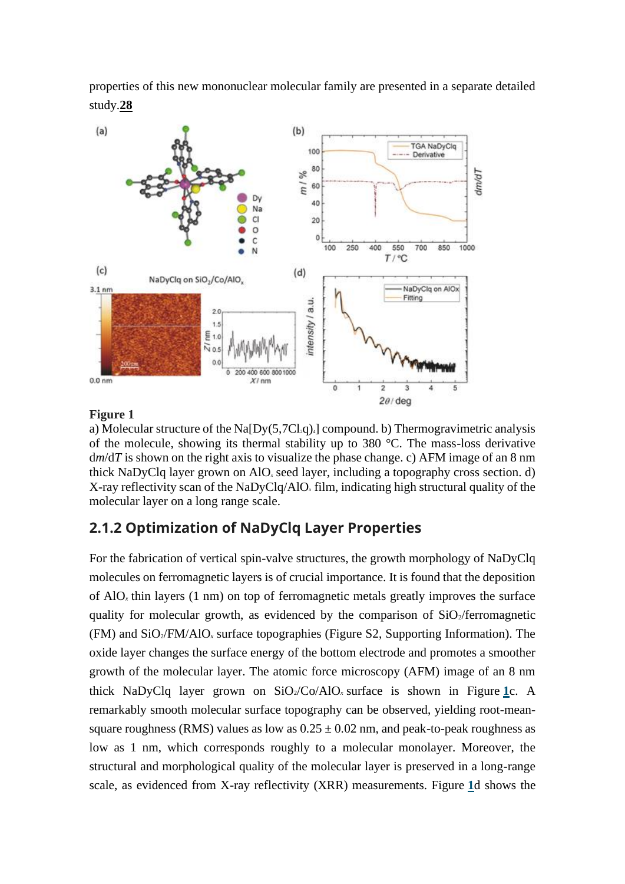properties of this new mononuclear molecular family are presented in a separate detailed study.**[28](https://onlinelibrary.wiley.com/doi/full/10.1002/adfm.201702099#adfm201702099-bib-0028)**



#### **Figure 1**

a) Molecular structure of the Na $[Dy(5,7Cl<sub>2</sub>q)<sub>4</sub>]$  compound. b) Thermogravimetric analysis of the molecule, showing its thermal stability up to 380 °C. The mass-loss derivative d*m*/d*T* is shown on the right axis to visualize the phase change. c) AFM image of an 8 nm thick NaDyClq layer grown on AlO*<sup>x</sup>* seed layer, including a topography cross section. d) X-ray reflectivity scan of the NaDyClq/AlO*<sup>x</sup>* film, indicating high structural quality of the molecular layer on a long range scale.

#### **2.1.2 Optimization of NaDyClq Layer Properties**

For the fabrication of vertical spin-valve structures, the growth morphology of NaDyClq molecules on ferromagnetic layers is of crucial importance. It is found that the deposition of AlO*<sup>x</sup>* thin layers (1 nm) on top of ferromagnetic metals greatly improves the surface quality for molecular growth, as evidenced by the comparison of  $SiO<sub>2</sub>/ferromagnetic$ (FM) and SiO2/FM/AlO*<sup>x</sup>* surface topographies (Figure S2, Supporting Information). The oxide layer changes the surface energy of the bottom electrode and promotes a smoother growth of the molecular layer. The atomic force microscopy (AFM) image of an 8 nm thick NaDyClq layer grown on  $SiO_2/Co/AlO_x$  surface is shown in Figure [1](https://onlinelibrary.wiley.com/doi/full/10.1002/adfm.201702099#adfm201702099-fig-0001)c. A remarkably smooth molecular surface topography can be observed, yielding root-meansquare roughness (RMS) values as low as  $0.25 \pm 0.02$  nm, and peak-to-peak roughness as low as 1 nm, which corresponds roughly to a molecular monolayer. Moreover, the structural and morphological quality of the molecular layer is preserved in a long-range scale, as evidenced from X-ray reflectivity (XRR) measurements. Figure **[1](https://onlinelibrary.wiley.com/doi/full/10.1002/adfm.201702099#adfm201702099-fig-0001)**d shows the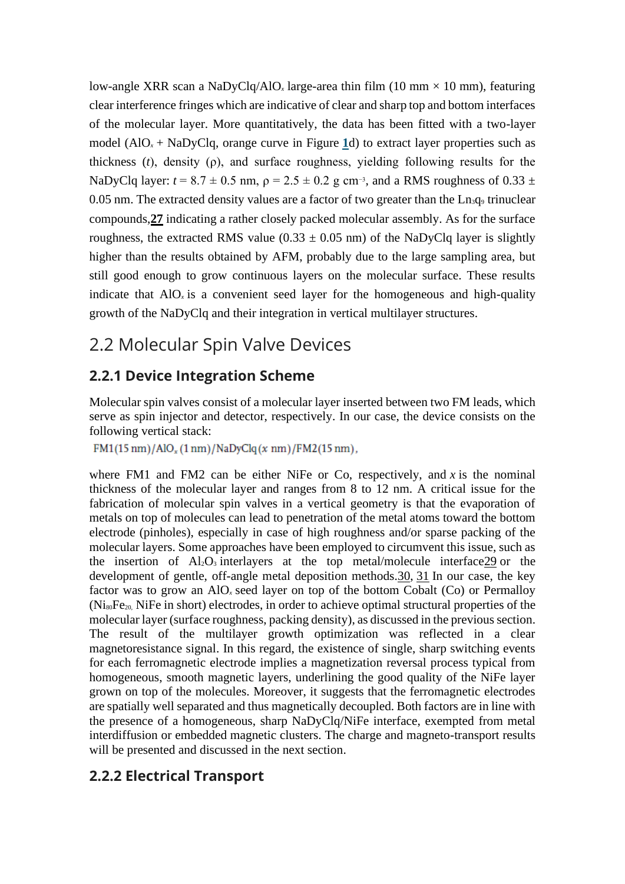low-angle XRR scan a NaDyClq/AlO<sub>x</sub> large-area thin film (10 mm  $\times$  10 mm), featuring clear interference fringes which are indicative of clear and sharp top and bottom interfaces of the molecular layer. More quantitatively, the data has been fitted with a two-layer model  $(AIO<sub>x</sub> + NaDyClq, orange curve in Figure 1d)$  $(AIO<sub>x</sub> + NaDyClq, orange curve in Figure 1d)$  $(AIO<sub>x</sub> + NaDyClq, orange curve in Figure 1d)$  to extract layer properties such as thickness (*t*), density (ρ), and surface roughness, yielding following results for the NaDyClq layer:  $t = 8.7 \pm 0.5$  nm,  $\rho = 2.5 \pm 0.2$  g cm<sup>-3</sup>, and a RMS roughness of 0.33  $\pm$ 0.05 nm. The extracted density values are a factor of two greater than the  $\text{Ln}_3\text{q}_9$  trinuclear compounds,**[27](https://onlinelibrary.wiley.com/doi/full/10.1002/adfm.201702099#adfm201702099-bib-0027)** indicating a rather closely packed molecular assembly. As for the surface roughness, the extracted RMS value (0.33  $\pm$  0.05 nm) of the NaDyClq layer is slightly higher than the results obtained by AFM, probably due to the large sampling area, but still good enough to grow continuous layers on the molecular surface. These results indicate that AlO*<sup>x</sup>* is a convenient seed layer for the homogeneous and high-quality growth of the NaDyClq and their integration in vertical multilayer structures.

### 2.2 Molecular Spin Valve Devices

#### **2.2.1 Device Integration Scheme**

Molecular spin valves consist of a molecular layer inserted between two FM leads, which serve as spin injector and detector, respectively. In our case, the device consists on the following vertical stack:

 $FM1(15 nm)/AlO<sub>x</sub>(1 nm)/NaDyClq(x nm)/FM2(15 nm),$ 

where FM1 and FM2 can be either NiFe or Co, respectively, and *x* is the nominal thickness of the molecular layer and ranges from 8 to 12 nm. A critical issue for the fabrication of molecular spin valves in a vertical geometry is that the evaporation of metals on top of molecules can lead to penetration of the metal atoms toward the bottom electrode (pinholes), especially in case of high roughness and/or sparse packing of the molecular layers. Some approaches have been employed to circumvent this issue, such as the insertion of  $Al_2O_3$  interlayers at the top metal/molecule interface 29 or the development of gentle, off-angle metal deposition methods[.30,](https://onlinelibrary.wiley.com/doi/full/10.1002/adfm.201702099#adfm201702099-bib-0030) [31](https://onlinelibrary.wiley.com/doi/full/10.1002/adfm.201702099#adfm201702099-bib-0031) In our case, the key factor was to grow an AlO*<sup>x</sup>* seed layer on top of the bottom Cobalt (Co) or Permalloy  $(Ni_{80}Fe_{20}$ , NiFe in short) electrodes, in order to achieve optimal structural properties of the molecular layer (surface roughness, packing density), as discussed in the previous section. The result of the multilayer growth optimization was reflected in a clear magnetoresistance signal. In this regard, the existence of single, sharp switching events for each ferromagnetic electrode implies a magnetization reversal process typical from homogeneous, smooth magnetic layers, underlining the good quality of the NiFe layer grown on top of the molecules. Moreover, it suggests that the ferromagnetic electrodes are spatially well separated and thus magnetically decoupled. Both factors are in line with the presence of a homogeneous, sharp NaDyClq/NiFe interface, exempted from metal interdiffusion or embedded magnetic clusters. The charge and magneto-transport results will be presented and discussed in the next section.

#### **2.2.2 Electrical Transport**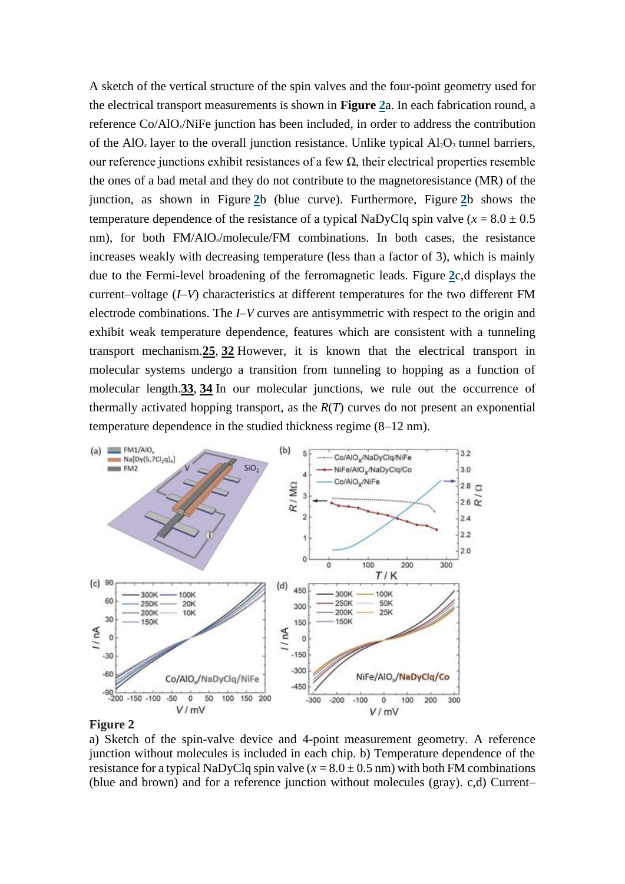A sketch of the vertical structure of the spin valves and the four-point geometry used for the electrical transport measurements is shown in **Figure [2](https://onlinelibrary.wiley.com/doi/full/10.1002/adfm.201702099#adfm201702099-fig-0002)**a. In each fabrication round, a reference Co/AlO*x*/NiFe junction has been included, in order to address the contribution of the AlO<sub>x</sub> layer to the overall junction resistance. Unlike typical  $Al_2O_3$  tunnel barriers, our reference junctions exhibit resistances of a few  $\Omega$ , their electrical properties resemble the ones of a bad metal and they do not contribute to the magnetoresistance (MR) of the junction, as shown in Figure **[2](https://onlinelibrary.wiley.com/doi/full/10.1002/adfm.201702099#adfm201702099-fig-0002)**b (blue curve). Furthermore, Figure **[2](https://onlinelibrary.wiley.com/doi/full/10.1002/adfm.201702099#adfm201702099-fig-0002)**b shows the temperature dependence of the resistance of a typical NaDyClq spin valve ( $x = 8.0 \pm 0.5$ ) nm), for both FM/AlO<sub>x</sub>/molecule/FM combinations. In both cases, the resistance increases weakly with decreasing temperature (less than a factor of 3), which is mainly due to the Fermi-level broadening of the ferromagnetic leads. Figure **[2](https://onlinelibrary.wiley.com/doi/full/10.1002/adfm.201702099#adfm201702099-fig-0002)**c,d displays the current–voltage (*I–V*) characteristics at different temperatures for the two different FM electrode combinations. The *I–V* curves are antisymmetric with respect to the origin and exhibit weak temperature dependence, features which are consistent with a tunneling transport mechanism.**[25](https://onlinelibrary.wiley.com/doi/full/10.1002/adfm.201702099#adfm201702099-bib-0025)**, **[32](https://onlinelibrary.wiley.com/doi/full/10.1002/adfm.201702099#adfm201702099-bib-0032)** However, it is known that the electrical transport in molecular systems undergo a transition from tunneling to hopping as a function of molecular length.**[33](https://onlinelibrary.wiley.com/doi/full/10.1002/adfm.201702099#adfm201702099-bib-0033)**, **[34](https://onlinelibrary.wiley.com/doi/full/10.1002/adfm.201702099#adfm201702099-bib-0034)** In our molecular junctions, we rule out the occurrence of thermally activated hopping transport, as the *R*(*T*) curves do not present an exponential temperature dependence in the studied thickness regime (8–12 nm).



#### **Figure 2**

a) Sketch of the spin-valve device and 4-point measurement geometry. A reference junction without molecules is included in each chip. b) Temperature dependence of the resistance for a typical NaDyClq spin valve  $(x = 8.0 \pm 0.5 \text{ nm})$  with both FM combinations (blue and brown) and for a reference junction without molecules (gray). c,d) Current–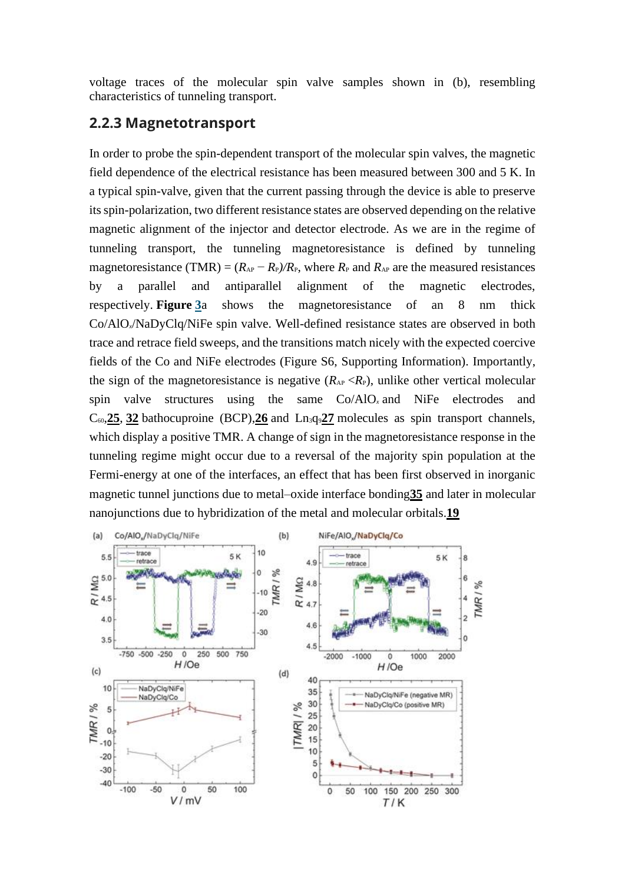voltage traces of the molecular spin valve samples shown in (b), resembling characteristics of tunneling transport.

#### **2.2.3 Magnetotransport**

In order to probe the spin-dependent transport of the molecular spin valves, the magnetic field dependence of the electrical resistance has been measured between 300 and 5 K. In a typical spin-valve, given that the current passing through the device is able to preserve its spin-polarization, two different resistance states are observed depending on the relative magnetic alignment of the injector and detector electrode. As we are in the regime of tunneling transport, the tunneling magnetoresistance is defined by tunneling magnetoresistance (TMR) =  $(R_{AP} - R_P)/R_P$ , where  $R_P$  and  $R_{AP}$  are the measured resistances by a parallel and antiparallel alignment of the magnetic electrodes, respectively. **Figure [3](https://onlinelibrary.wiley.com/doi/full/10.1002/adfm.201702099#adfm201702099-fig-0003)**a shows the magnetoresistance of an 8 nm thick Co/AlO*x*/NaDyClq/NiFe spin valve. Well-defined resistance states are observed in both trace and retrace field sweeps, and the transitions match nicely with the expected coercive fields of the Co and NiFe electrodes (Figure S6, Supporting Information). Importantly, the sign of the magnetoresistance is negative  $(R_{AP} < R_P)$ , unlike other vertical molecular spin valve structures using the same Co/AlO*<sup>x</sup>* and NiFe electrodes and  $C_{60}$ , [25](https://onlinelibrary.wiley.com/doi/full/10.1002/adfm.201702099#adfm201702099-bib-0025), [32](https://onlinelibrary.wiley.com/doi/full/10.1002/adfm.201702099#adfm201702099-bib-0032) bathocuproine (BCP), [26](https://onlinelibrary.wiley.com/doi/full/10.1002/adfm.201702099#adfm201702099-bib-0026) and  $Ln_3q_9$  [27](https://onlinelibrary.wiley.com/doi/full/10.1002/adfm.201702099#adfm201702099-bib-0027) molecules as spin transport channels, which display a positive TMR. A change of sign in the magnetoresistance response in the tunneling regime might occur due to a reversal of the majority spin population at the Fermi-energy at one of the interfaces, an effect that has been first observed in inorganic magnetic tunnel junctions due to metal–oxide interface bonding**[35](https://onlinelibrary.wiley.com/doi/full/10.1002/adfm.201702099#adfm201702099-bib-0035)** and later in molecular nanojunctions due to hybridization of the metal and molecular orbitals.**[19](https://onlinelibrary.wiley.com/doi/full/10.1002/adfm.201702099#adfm201702099-bib-0019)**

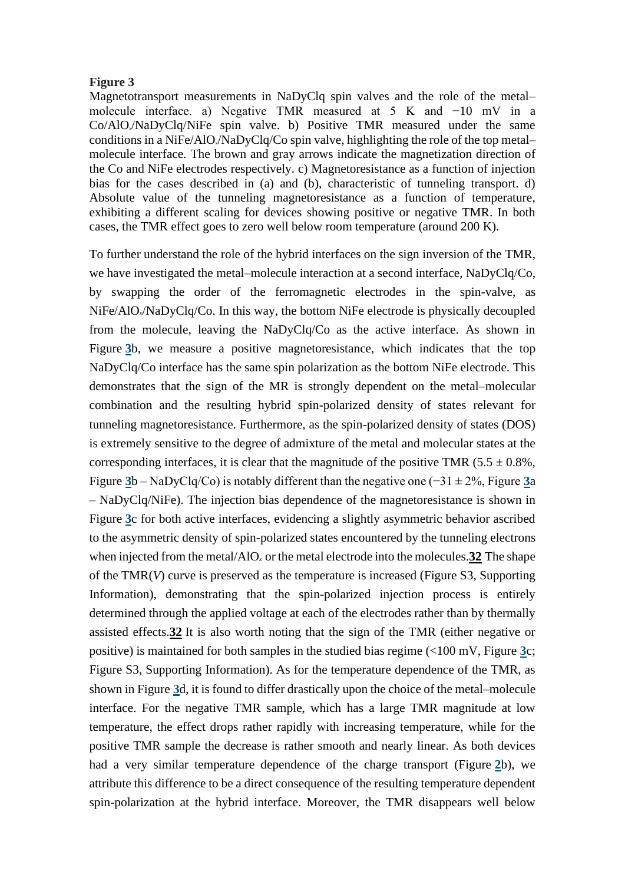#### **Figure 3**

Magnetotransport measurements in NaDyClq spin valves and the role of the metal– molecule interface. a) Negative TMR measured at 5 K and −10 mV in a Co/AlO*x*/NaDyClq/NiFe spin valve. b) Positive TMR measured under the same conditions in a NiFe/AlO*x*/NaDyClq/Co spin valve, highlighting the role of the top metal– molecule interface. The brown and gray arrows indicate the magnetization direction of the Co and NiFe electrodes respectively. c) Magnetoresistance as a function of injection bias for the cases described in (a) and (b), characteristic of tunneling transport. d) Absolute value of the tunneling magnetoresistance as a function of temperature, exhibiting a different scaling for devices showing positive or negative TMR. In both cases, the TMR effect goes to zero well below room temperature (around 200 K).

To further understand the role of the hybrid interfaces on the sign inversion of the TMR, we have investigated the metal–molecule interaction at a second interface, NaDyClq/Co, by swapping the order of the ferromagnetic electrodes in the spin-valve, as NiFe/AlO*x*/NaDyClq/Co. In this way, the bottom NiFe electrode is physically decoupled from the molecule, leaving the NaDyClq/Co as the active interface. As shown in Figure [3](https://onlinelibrary.wiley.com/doi/full/10.1002/adfm.201702099#adfm201702099-fig-0003)b, we measure a positive magnetoresistance, which indicates that the top NaDyClq/Co interface has the same spin polarization as the bottom NiFe electrode. This demonstrates that the sign of the MR is strongly dependent on the metal–molecular combination and the resulting hybrid spin-polarized density of states relevant for tunneling magnetoresistance. Furthermore, as the spin-polarized density of states (DOS) is extremely sensitive to the degree of admixture of the metal and molecular states at the corresponding interfaces, it is clear that the magnitude of the positive TMR  $(5.5 \pm 0.8\%$ , Figure **[3](https://onlinelibrary.wiley.com/doi/full/10.1002/adfm.201702099#adfm201702099-fig-0003)**b – NaDyClq/Co) is notably different than the negative one (−31 ± 2%, Figure **[3](https://onlinelibrary.wiley.com/doi/full/10.1002/adfm.201702099#adfm201702099-fig-0003)**a – NaDyClq/NiFe). The injection bias dependence of the magnetoresistance is shown in Figure **[3](https://onlinelibrary.wiley.com/doi/full/10.1002/adfm.201702099#adfm201702099-fig-0003)**c for both active interfaces, evidencing a slightly asymmetric behavior ascribed to the asymmetric density of spin-polarized states encountered by the tunneling electrons when injected from the metal/AlO*<sup>x</sup>* or the metal electrode into the molecules.**[32](https://onlinelibrary.wiley.com/doi/full/10.1002/adfm.201702099#adfm201702099-bib-0032)** The shape of the TMR(*V*) curve is preserved as the temperature is increased (Figure S3, Supporting Information), demonstrating that the spin-polarized injection process is entirely determined through the applied voltage at each of the electrodes rather than by thermally assisted effects.**[32](https://onlinelibrary.wiley.com/doi/full/10.1002/adfm.201702099#adfm201702099-bib-0032)** It is also worth noting that the sign of the TMR (either negative or positive) is maintained for both samples in the studied bias regime (<100 mV, Figure **[3](https://onlinelibrary.wiley.com/doi/full/10.1002/adfm.201702099#adfm201702099-fig-0003)**c; Figure S3, Supporting Information). As for the temperature dependence of the TMR, as shown in Figure **[3](https://onlinelibrary.wiley.com/doi/full/10.1002/adfm.201702099#adfm201702099-fig-0003)**d, it is found to differ drastically upon the choice of the metal–molecule interface. For the negative TMR sample, which has a large TMR magnitude at low temperature, the effect drops rather rapidly with increasing temperature, while for the positive TMR sample the decrease is rather smooth and nearly linear. As both devices had a very similar temperature dependence of the charge transport (Figure **[2](https://onlinelibrary.wiley.com/doi/full/10.1002/adfm.201702099#adfm201702099-fig-0002)**b), we attribute this difference to be a direct consequence of the resulting temperature dependent spin-polarization at the hybrid interface. Moreover, the TMR disappears well below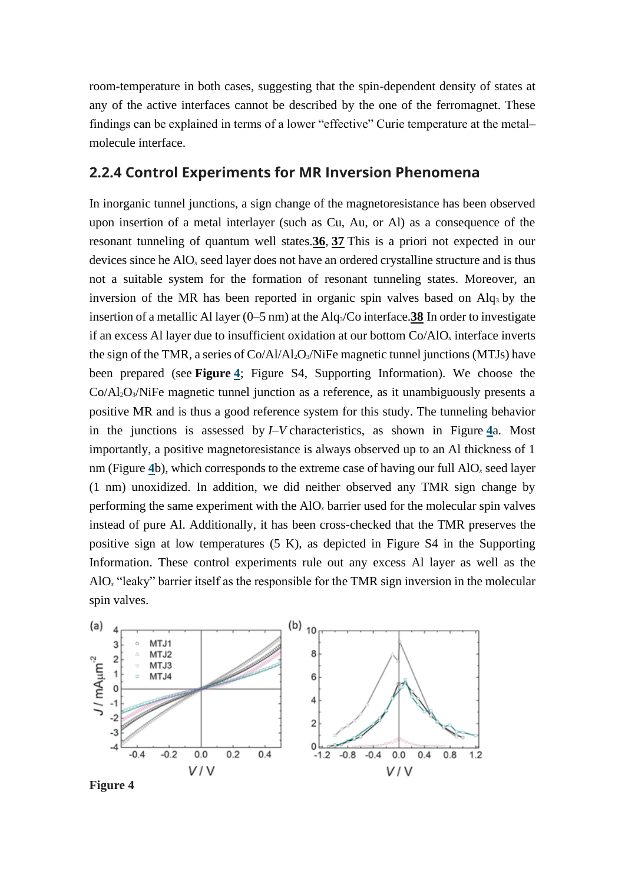room-temperature in both cases, suggesting that the spin-dependent density of states at any of the active interfaces cannot be described by the one of the ferromagnet. These findings can be explained in terms of a lower "effective" Curie temperature at the metal– molecule interface.

#### **2.2.4 Control Experiments for MR Inversion Phenomena**

In inorganic tunnel junctions, a sign change of the magnetoresistance has been observed upon insertion of a metal interlayer (such as Cu, Au, or Al) as a consequence of the resonant tunneling of quantum well states.**[36](https://onlinelibrary.wiley.com/doi/full/10.1002/adfm.201702099#adfm201702099-bib-0036)**, **[37](https://onlinelibrary.wiley.com/doi/full/10.1002/adfm.201702099#adfm201702099-bib-0037)** This is a priori not expected in our devices since he AlO*<sup>x</sup>* seed layer does not have an ordered crystalline structure and is thus not a suitable system for the formation of resonant tunneling states. Moreover, an inversion of the MR has been reported in organic spin valves based on  $\text{Alg}_3$  by the insertion of a metallic Al layer (0–5 nm) at the Alq3/Co interface.**[38](https://onlinelibrary.wiley.com/doi/full/10.1002/adfm.201702099#adfm201702099-bib-0038)** In order to investigate if an excess Al layer due to insufficient oxidation at our bottom Co/AlO*<sup>x</sup>* interface inverts the sign of the TMR, a series of Co/Al/Al2O3/NiFe magnetic tunnel junctions (MTJs) have been prepared (see **Figure [4](https://onlinelibrary.wiley.com/doi/full/10.1002/adfm.201702099#adfm201702099-fig-0004)**; Figure S4, Supporting Information). We choose the Co/Al2O3/NiFe magnetic tunnel junction as a reference, as it unambiguously presents a positive MR and is thus a good reference system for this study. The tunneling behavior in the junctions is assessed by *I–V* characteristics, as shown in Figure **[4](https://onlinelibrary.wiley.com/doi/full/10.1002/adfm.201702099#adfm201702099-fig-0004)**a. Most importantly, a positive magnetoresistance is always observed up to an Al thickness of 1 nm (Figure **[4](https://onlinelibrary.wiley.com/doi/full/10.1002/adfm.201702099#adfm201702099-fig-0004)**b), which corresponds to the extreme case of having our full AlO*<sup>x</sup>* seed layer (1 nm) unoxidized. In addition, we did neither observed any TMR sign change by performing the same experiment with the AlO*<sup>x</sup>* barrier used for the molecular spin valves instead of pure Al. Additionally, it has been cross-checked that the TMR preserves the positive sign at low temperatures (5 K), as depicted in Figure S4 in the Supporting Information. These control experiments rule out any excess Al layer as well as the AlO*<sup>x</sup>* "leaky" barrier itself as the responsible for the TMR sign inversion in the molecular spin valves.



**Figure 4**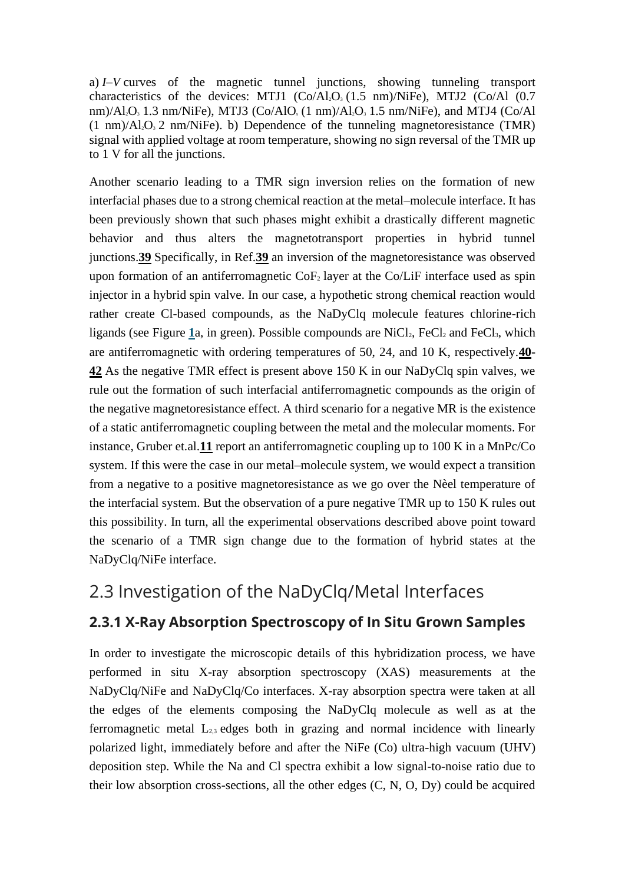a) *I–V* curves of the magnetic tunnel junctions, showing tunneling transport characteristics of the devices: MTJ1  $(Co/Al<sub>2</sub>O<sub>3</sub>(1.5 nm)/NiFe)$ , MTJ2  $(Co/Al<sub>1</sub>O<sub>3</sub>$ nm)/Al<sub>2</sub>O<sub>3</sub> 1.3 nm/NiFe), MTJ3 (Co/AlO<sub>x</sub> (1 nm)/Al<sub>2</sub>O<sub>3</sub> 1.5 nm/NiFe), and MTJ4 (Co/Al  $(1 \text{ nm})/A_1 O_3$  2 nm/NiFe). b) Dependence of the tunneling magnetoresistance (TMR) signal with applied voltage at room temperature, showing no sign reversal of the TMR up to 1 V for all the junctions.

Another scenario leading to a TMR sign inversion relies on the formation of new interfacial phases due to a strong chemical reaction at the metal–molecule interface. It has been previously shown that such phases might exhibit a drastically different magnetic behavior and thus alters the magnetotransport properties in hybrid tunnel junctions.**[39](https://onlinelibrary.wiley.com/doi/full/10.1002/adfm.201702099#adfm201702099-bib-0039)** Specifically, in Ref.**[39](https://onlinelibrary.wiley.com/doi/full/10.1002/adfm.201702099#adfm201702099-bib-0039)** an inversion of the magnetoresistance was observed upon formation of an antiferromagnetic  $\text{CoF}_2$  layer at the Co/LiF interface used as spin injector in a hybrid spin valve. In our case, a hypothetic strong chemical reaction would rather create Cl-based compounds, as the NaDyClq molecule features chlorine-rich ligands (see Figure  $1a$  $1a$ , in green). Possible compounds are NiCl<sub>2</sub>, FeCl<sub>2</sub> and FeCl<sub>3</sub>, which are antiferromagnetic with ordering temperatures of 50, 24, and 10 K, respectively.**[40](https://onlinelibrary.wiley.com/doi/full/10.1002/adfm.201702099#adfm201702099-bib-0040)**- **[42](https://onlinelibrary.wiley.com/doi/full/10.1002/adfm.201702099#adfm201702099-bib-0042)** As the negative TMR effect is present above 150 K in our NaDyClq spin valves, we rule out the formation of such interfacial antiferromagnetic compounds as the origin of the negative magnetoresistance effect. A third scenario for a negative MR is the existence of a static antiferromagnetic coupling between the metal and the molecular moments. For instance, Gruber et.al.**[11](https://onlinelibrary.wiley.com/doi/full/10.1002/adfm.201702099#adfm201702099-bib-0011)** report an antiferromagnetic coupling up to 100 K in a MnPc/Co system. If this were the case in our metal–molecule system, we would expect a transition from a negative to a positive magnetoresistance as we go over the Nèel temperature of the interfacial system. But the observation of a pure negative TMR up to 150 K rules out this possibility. In turn, all the experimental observations described above point toward the scenario of a TMR sign change due to the formation of hybrid states at the NaDyClq/NiFe interface.

### 2.3 Investigation of the NaDyClq/Metal Interfaces

#### **2.3.1 X-Ray Absorption Spectroscopy of In Situ Grown Samples**

In order to investigate the microscopic details of this hybridization process, we have performed in situ X-ray absorption spectroscopy (XAS) measurements at the NaDyClq/NiFe and NaDyClq/Co interfaces. X-ray absorption spectra were taken at all the edges of the elements composing the NaDyClq molecule as well as at the ferromagnetic metal  $L_{2,3}$  edges both in grazing and normal incidence with linearly polarized light, immediately before and after the NiFe (Co) ultra-high vacuum (UHV) deposition step. While the Na and Cl spectra exhibit a low signal-to-noise ratio due to their low absorption cross-sections, all the other edges (C, N, O, Dy) could be acquired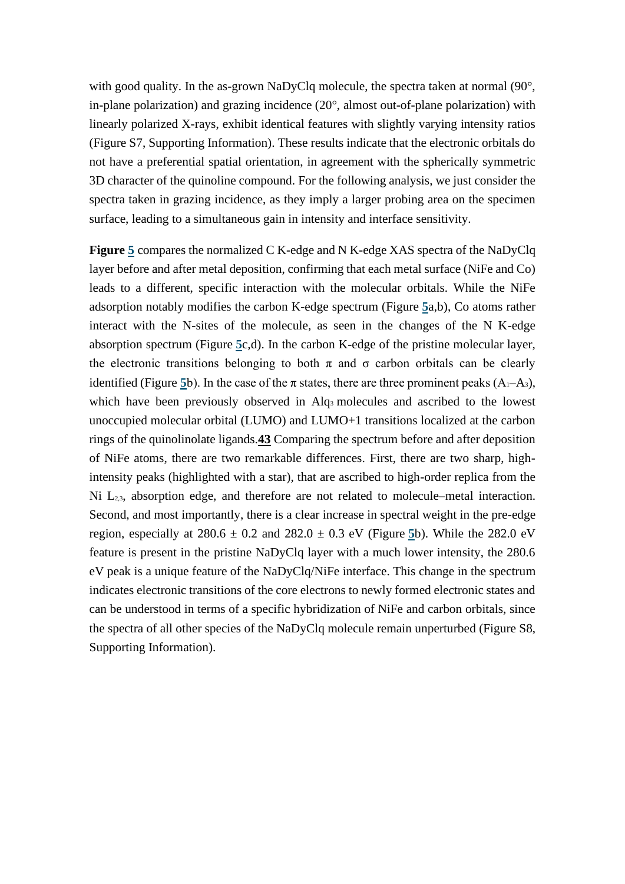with good quality. In the as-grown NaDyClq molecule, the spectra taken at normal (90°, in-plane polarization) and grazing incidence (20°, almost out-of-plane polarization) with linearly polarized X-rays, exhibit identical features with slightly varying intensity ratios (Figure S7, Supporting Information). These results indicate that the electronic orbitals do not have a preferential spatial orientation, in agreement with the spherically symmetric 3D character of the quinoline compound. For the following analysis, we just consider the spectra taken in grazing incidence, as they imply a larger probing area on the specimen surface, leading to a simultaneous gain in intensity and interface sensitivity.

**Figure [5](https://onlinelibrary.wiley.com/doi/full/10.1002/adfm.201702099#adfm201702099-fig-0005)** compares the normalized C K-edge and N K-edge XAS spectra of the NaDyClq layer before and after metal deposition, confirming that each metal surface (NiFe and Co) leads to a different, specific interaction with the molecular orbitals. While the NiFe adsorption notably modifies the carbon K-edge spectrum (Figure **[5](https://onlinelibrary.wiley.com/doi/full/10.1002/adfm.201702099#adfm201702099-fig-0005)**a,b), Co atoms rather interact with the N-sites of the molecule, as seen in the changes of the N K-edge absorption spectrum (Figure **[5](https://onlinelibrary.wiley.com/doi/full/10.1002/adfm.201702099#adfm201702099-fig-0005)**c,d). In the carbon K-edge of the pristine molecular layer, the electronic transitions belonging to both  $\pi$  and  $\sigma$  carbon orbitals can be clearly identified (Figure [5](https://onlinelibrary.wiley.com/doi/full/10.1002/adfm.201702099#adfm201702099-fig-0005)b). In the case of the  $\pi$  states, there are three prominent peaks  $(A_1-A_3)$ , which have been previously observed in Alq<sub>3</sub> molecules and ascribed to the lowest unoccupied molecular orbital (LUMO) and LUMO+1 transitions localized at the carbon rings of the quinolinolate ligands.**[43](https://onlinelibrary.wiley.com/doi/full/10.1002/adfm.201702099#adfm201702099-bib-0043)** Comparing the spectrum before and after deposition of NiFe atoms, there are two remarkable differences. First, there are two sharp, highintensity peaks (highlighted with a star), that are ascribed to high-order replica from the Ni L<sub>2,3</sub>, absorption edge, and therefore are not related to molecule–metal interaction. Second, and most importantly, there is a clear increase in spectral weight in the pre-edge region, especially at  $280.6 \pm 0.2$  and  $282.0 \pm 0.3$  eV (Figure [5](https://onlinelibrary.wiley.com/doi/full/10.1002/adfm.201702099#adfm201702099-fig-0005)b). While the 282.0 eV feature is present in the pristine NaDyClq layer with a much lower intensity, the 280.6 eV peak is a unique feature of the NaDyClq/NiFe interface. This change in the spectrum indicates electronic transitions of the core electrons to newly formed electronic states and can be understood in terms of a specific hybridization of NiFe and carbon orbitals, since the spectra of all other species of the NaDyClq molecule remain unperturbed (Figure S8, Supporting Information).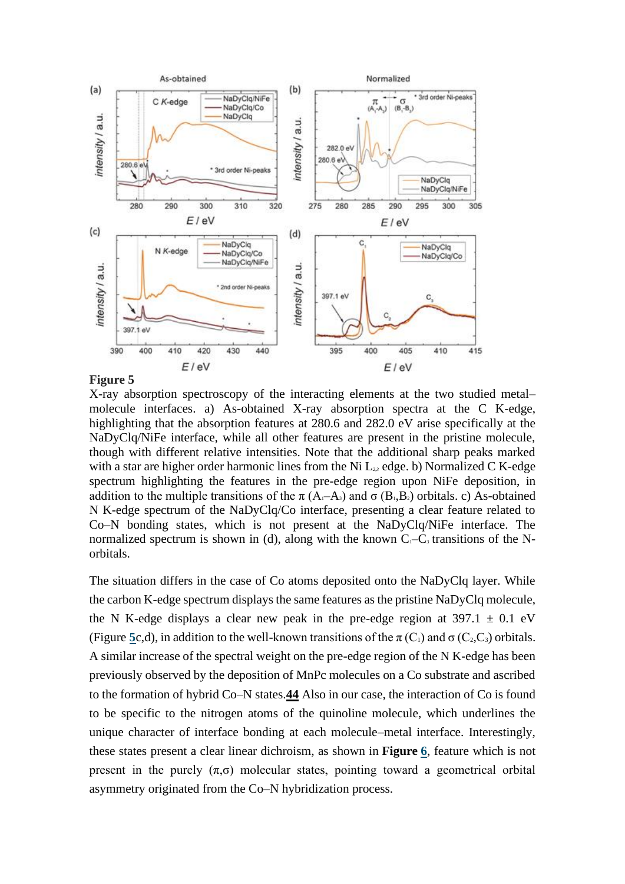

#### **Figure 5**

X-ray absorption spectroscopy of the interacting elements at the two studied metal– molecule interfaces. a) As-obtained X-ray absorption spectra at the C K-edge, highlighting that the absorption features at 280.6 and 282.0 eV arise specifically at the NaDyClq/NiFe interface, while all other features are present in the pristine molecule, though with different relative intensities. Note that the additional sharp peaks marked with a star are higher order harmonic lines from the Ni L*2,3* edge. b) Normalized C K-edge spectrum highlighting the features in the pre-edge region upon NiFe deposition, in addition to the multiple transitions of the  $\pi$  (A<sub>1</sub>–A<sub>3</sub>) and  $\sigma$  (B<sub>1</sub>,B<sub>2</sub>) orbitals. c) As-obtained N K-edge spectrum of the NaDyClq/Co interface, presenting a clear feature related to Co–N bonding states, which is not present at the NaDyClq/NiFe interface. The normalized spectrum is shown in (d), along with the known  $C_1-C_3$  transitions of the Norbitals.

The situation differs in the case of Co atoms deposited onto the NaDyClq layer. While the carbon K-edge spectrum displays the same features as the pristine NaDyClq molecule, the N K-edge displays a clear new peak in the pre-edge region at  $397.1 \pm 0.1$  eV (Figure [5](https://onlinelibrary.wiley.com/doi/full/10.1002/adfm.201702099#adfm201702099-fig-0005)c,d), in addition to the well-known transitions of the  $\pi(C_1)$  and  $\sigma(C_2, C_3)$  orbitals. A similar increase of the spectral weight on the pre-edge region of the N K-edge has been previously observed by the deposition of MnPc molecules on a Co substrate and ascribed to the formation of hybrid Co–N states.**[44](https://onlinelibrary.wiley.com/doi/full/10.1002/adfm.201702099#adfm201702099-bib-0044)** Also in our case, the interaction of Co is found to be specific to the nitrogen atoms of the quinoline molecule, which underlines the unique character of interface bonding at each molecule–metal interface. Interestingly, these states present a clear linear dichroism, as shown in **Figure [6](https://onlinelibrary.wiley.com/doi/full/10.1002/adfm.201702099#adfm201702099-fig-0006)**, feature which is not present in the purely  $(\pi,\sigma)$  molecular states, pointing toward a geometrical orbital asymmetry originated from the Co–N hybridization process.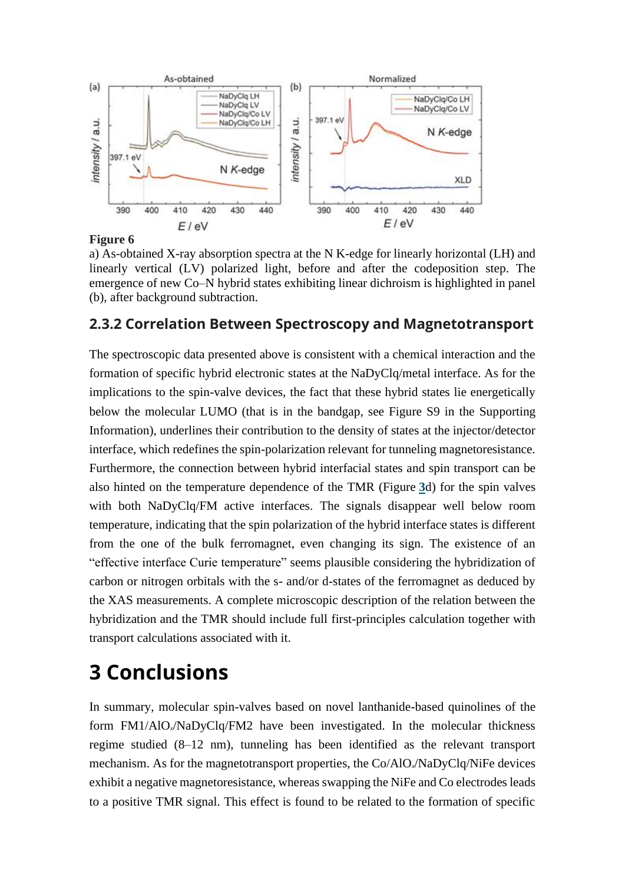

#### **Figure 6**

a) As-obtained X-ray absorption spectra at the N K-edge for linearly horizontal (LH) and linearly vertical (LV) polarized light, before and after the codeposition step. The emergence of new Co–N hybrid states exhibiting linear dichroism is highlighted in panel (b), after background subtraction.

#### **2.3.2 Correlation Between Spectroscopy and Magnetotransport**

The spectroscopic data presented above is consistent with a chemical interaction and the formation of specific hybrid electronic states at the NaDyClq/metal interface. As for the implications to the spin-valve devices, the fact that these hybrid states lie energetically below the molecular LUMO (that is in the bandgap, see Figure S9 in the Supporting Information), underlines their contribution to the density of states at the injector/detector interface, which redefines the spin-polarization relevant for tunneling magnetoresistance. Furthermore, the connection between hybrid interfacial states and spin transport can be also hinted on the temperature dependence of the TMR (Figure **[3](https://onlinelibrary.wiley.com/doi/full/10.1002/adfm.201702099#adfm201702099-fig-0003)**d) for the spin valves with both NaDyClq/FM active interfaces. The signals disappear well below room temperature, indicating that the spin polarization of the hybrid interface states is different from the one of the bulk ferromagnet, even changing its sign. The existence of an "effective interface Curie temperature" seems plausible considering the hybridization of carbon or nitrogen orbitals with the s- and/or d-states of the ferromagnet as deduced by the XAS measurements. A complete microscopic description of the relation between the hybridization and the TMR should include full first-principles calculation together with transport calculations associated with it.

## **3 Conclusions**

In summary, molecular spin-valves based on novel lanthanide-based quinolines of the form FM1/AlO*x*/NaDyClq/FM2 have been investigated. In the molecular thickness regime studied (8–12 nm), tunneling has been identified as the relevant transport mechanism. As for the magnetotransport properties, the Co/AlO*x*/NaDyClq/NiFe devices exhibit a negative magnetoresistance, whereas swapping the NiFe and Co electrodes leads to a positive TMR signal. This effect is found to be related to the formation of specific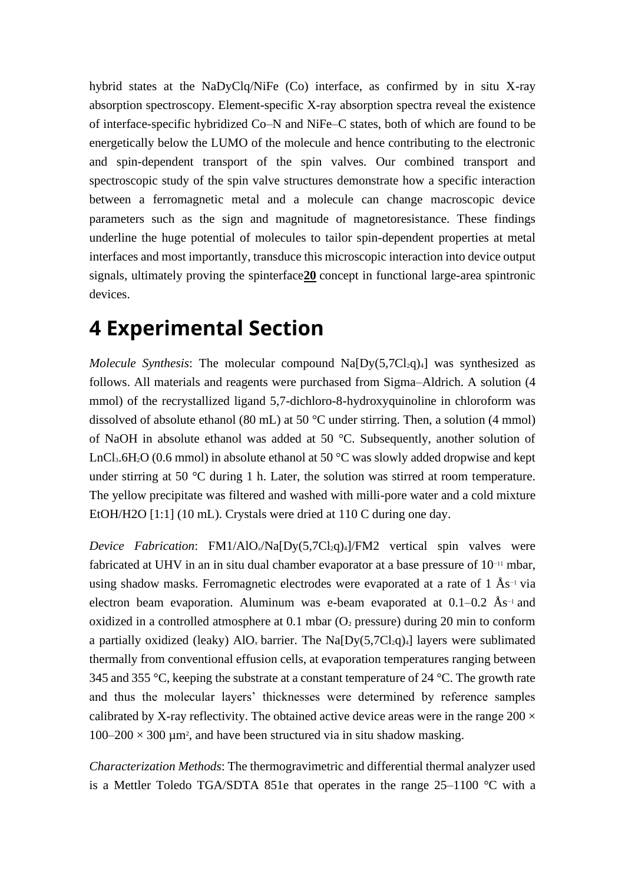hybrid states at the NaDyClq/NiFe (Co) interface, as confirmed by in situ X-ray absorption spectroscopy. Element-specific X-ray absorption spectra reveal the existence of interface-specific hybridized Co–N and NiFe–C states, both of which are found to be energetically below the LUMO of the molecule and hence contributing to the electronic and spin-dependent transport of the spin valves. Our combined transport and spectroscopic study of the spin valve structures demonstrate how a specific interaction between a ferromagnetic metal and a molecule can change macroscopic device parameters such as the sign and magnitude of magnetoresistance. These findings underline the huge potential of molecules to tailor spin-dependent properties at metal interfaces and most importantly, transduce this microscopic interaction into device output signals, ultimately proving the spinterface**[20](https://onlinelibrary.wiley.com/doi/full/10.1002/adfm.201702099#adfm201702099-bib-0020)** concept in functional large-area spintronic devices.

## **4 Experimental Section**

*Molecule Synthesis*: The molecular compound  $Na[Dy(5,7Cl<sub>2</sub>q)<sub>4</sub>]$  was synthesized as follows. All materials and reagents were purchased from Sigma–Aldrich. A solution (4 mmol) of the recrystallized ligand 5,7-dichloro-8-hydroxyquinoline in chloroform was dissolved of absolute ethanol (80 mL) at 50 °C under stirring. Then, a solution (4 mmol) of NaOH in absolute ethanol was added at 50 °C. Subsequently, another solution of LnCl<sub>3</sub>.6H<sub>2</sub>O (0.6 mmol) in absolute ethanol at 50  $\degree$ C was slowly added dropwise and kept under stirring at 50 °C during 1 h. Later, the solution was stirred at room temperature. The yellow precipitate was filtered and washed with milli-pore water and a cold mixture EtOH/H2O [1:1] (10 mL). Crystals were dried at 110 C during one day.

*Device Fabrication*: FM1/AlO<sub>x</sub>/Na[Dy(5,7Cl<sub>2</sub>q)<sub>4</sub>]/FM2 vertical spin valves were fabricated at UHV in an in situ dual chamber evaporator at a base pressure of 10−11 mbar, using shadow masks. Ferromagnetic electrodes were evaporated at a rate of 1 Ås−1 via electron beam evaporation. Aluminum was e-beam evaporated at  $0.1-0.2$  Ås<sup>-1</sup> and oxidized in a controlled atmosphere at  $0.1$  mbar ( $O<sub>2</sub>$  pressure) during 20 min to conform a partially oxidized (leaky)  $AIO_x$  barrier. The Na $[Dy(5,7Cl_2q)_4]$  layers were sublimated thermally from conventional effusion cells, at evaporation temperatures ranging between 345 and 355  $\degree$ C, keeping the substrate at a constant temperature of 24  $\degree$ C. The growth rate and thus the molecular layers' thicknesses were determined by reference samples calibrated by X-ray reflectivity. The obtained active device areas were in the range  $200 \times$  $100-200 \times 300$  µm<sup>2</sup>, and have been structured via in situ shadow masking.

*Characterization Methods*: The thermogravimetric and differential thermal analyzer used is a Mettler Toledo TGA/SDTA 851e that operates in the range 25–1100 °C with a